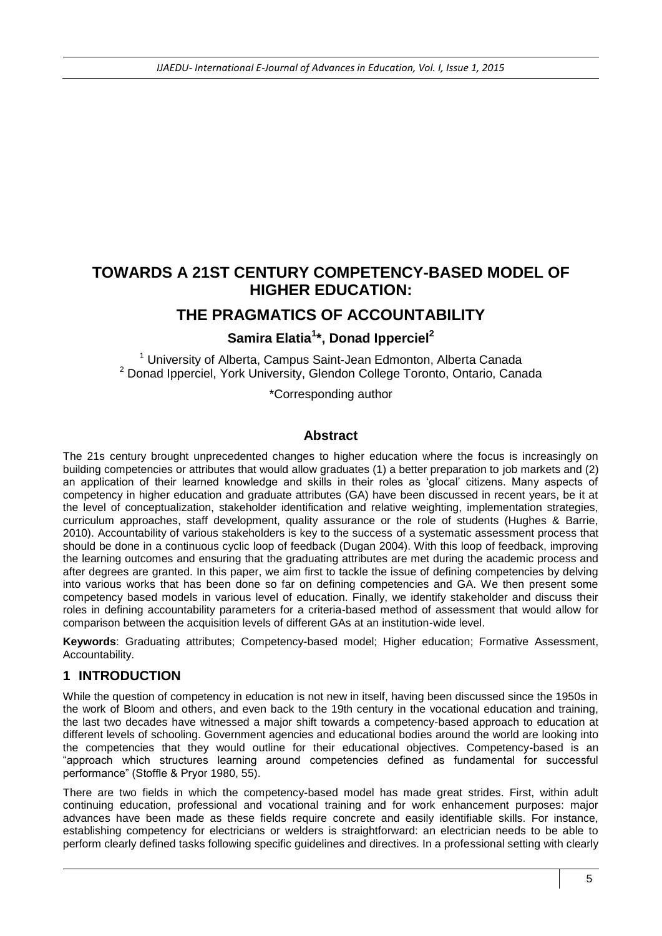# **TOWARDS A 21ST CENTURY COMPETENCY-BASED MODEL OF HIGHER EDUCATION:**

# **THE PRAGMATICS OF ACCOUNTABILITY**

#### **Samira Elatia<sup>1</sup> \*, Donad Ipperciel<sup>2</sup>**

<sup>1</sup> University of Alberta, Campus Saint-Jean Edmonton, Alberta Canada <sup>2</sup> Donad Ipperciel, York University, Glendon College Toronto, Ontario, Canada

\*Corresponding author

#### **Abstract**

The 21s century brought unprecedented changes to higher education where the focus is increasingly on building competencies or attributes that would allow graduates (1) a better preparation to job markets and (2) an application of their learned knowledge and skills in their roles as 'glocal' citizens. Many aspects of competency in higher education and graduate attributes (GA) have been discussed in recent years, be it at the level of conceptualization, stakeholder identification and relative weighting, implementation strategies, curriculum approaches, staff development, quality assurance or the role of students (Hughes & Barrie, 2010). Accountability of various stakeholders is key to the success of a systematic assessment process that should be done in a continuous cyclic loop of feedback (Dugan 2004). With this loop of feedback, improving the learning outcomes and ensuring that the graduating attributes are met during the academic process and after degrees are granted. In this paper, we aim first to tackle the issue of defining competencies by delving into various works that has been done so far on defining competencies and GA. We then present some competency based models in various level of education. Finally, we identify stakeholder and discuss their roles in defining accountability parameters for a criteria-based method of assessment that would allow for comparison between the acquisition levels of different GAs at an institution-wide level.

**Keywords**: Graduating attributes; Competency-based model; Higher education; Formative Assessment, Accountability.

#### **1 INTRODUCTION**

While the question of competency in education is not new in itself, having been discussed since the 1950s in the work of Bloom and others, and even back to the 19th century in the vocational education and training, the last two decades have witnessed a major shift towards a competency-based approach to education at different levels of schooling. Government agencies and educational bodies around the world are looking into the competencies that they would outline for their educational objectives. Competency-based is an "approach which structures learning around competencies defined as fundamental for successful performance" (Stoffle & Pryor 1980, 55).

There are two fields in which the competency-based model has made great strides. First, within adult continuing education, professional and vocational training and for work enhancement purposes: major advances have been made as these fields require concrete and easily identifiable skills. For instance, establishing competency for electricians or welders is straightforward: an electrician needs to be able to perform clearly defined tasks following specific guidelines and directives. In a professional setting with clearly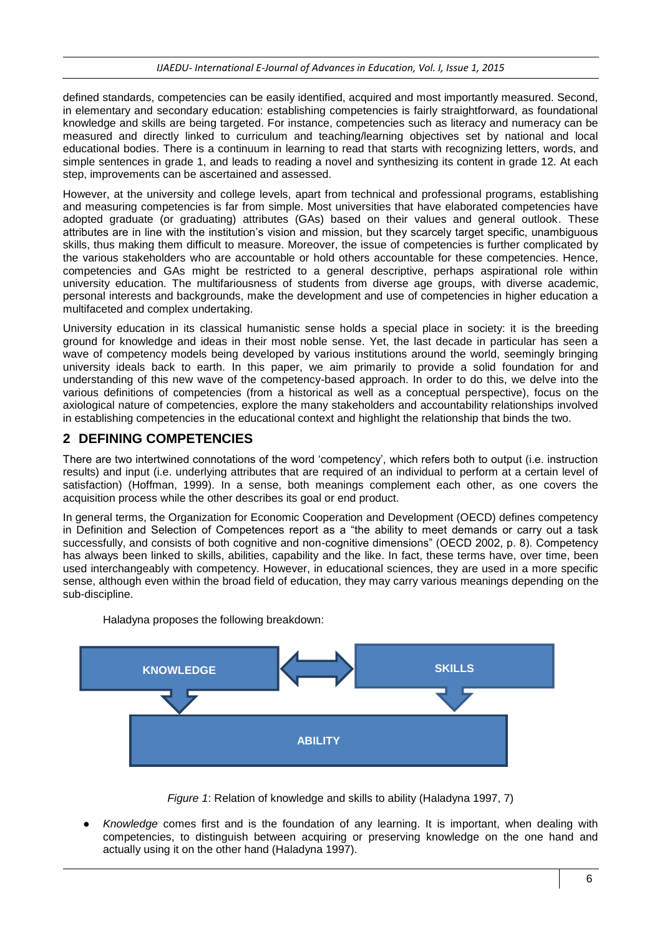#### *IJAEDU- International E-Journal of Advances in Education, Vol. I, Issue 1, 2015*

defined standards, competencies can be easily identified, acquired and most importantly measured. Second, in elementary and secondary education: establishing competencies is fairly straightforward, as foundational knowledge and skills are being targeted. For instance, competencies such as literacy and numeracy can be measured and directly linked to curriculum and teaching/learning objectives set by national and local educational bodies. There is a continuum in learning to read that starts with recognizing letters, words, and simple sentences in grade 1, and leads to reading a novel and synthesizing its content in grade 12. At each step, improvements can be ascertained and assessed.

However, at the university and college levels, apart from technical and professional programs, establishing and measuring competencies is far from simple. Most universities that have elaborated competencies have adopted graduate (or graduating) attributes (GAs) based on their values and general outlook. These attributes are in line with the institution's vision and mission, but they scarcely target specific, unambiguous skills, thus making them difficult to measure. Moreover, the issue of competencies is further complicated by the various stakeholders who are accountable or hold others accountable for these competencies. Hence, competencies and GAs might be restricted to a general descriptive, perhaps aspirational role within university education. The multifariousness of students from diverse age groups, with diverse academic, personal interests and backgrounds, make the development and use of competencies in higher education a multifaceted and complex undertaking.

University education in its classical humanistic sense holds a special place in society: it is the breeding ground for knowledge and ideas in their most noble sense. Yet, the last decade in particular has seen a wave of competency models being developed by various institutions around the world, seemingly bringing university ideals back to earth. In this paper, we aim primarily to provide a solid foundation for and understanding of this new wave of the competency-based approach. In order to do this, we delve into the various definitions of competencies (from a historical as well as a conceptual perspective), focus on the axiological nature of competencies, explore the many stakeholders and accountability relationships involved in establishing competencies in the educational context and highlight the relationship that binds the two.

#### **2 DEFINING COMPETENCIES**

There are two intertwined connotations of the word 'competency', which refers both to output (i.e. instruction results) and input (i.e. underlying attributes that are required of an individual to perform at a certain level of satisfaction) (Hoffman, 1999). In a sense, both meanings complement each other, as one covers the acquisition process while the other describes its goal or end product.

In general terms, the Organization for Economic Cooperation and Development (OECD) defines competency in Definition and Selection of Competences report as a "the ability to meet demands or carry out a task successfully, and consists of both cognitive and non-cognitive dimensions" (OECD 2002, p. 8). Competency has always been linked to skills, abilities, capability and the like. In fact, these terms have, over time, been used interchangeably with competency. However, in educational sciences, they are used in a more specific sense, although even within the broad field of education, they may carry various meanings depending on the sub-discipline.



Haladyna proposes the following breakdown:

*Figure 1*: Relation of knowledge and skills to ability (Haladyna 1997, 7)

● *Knowledge* comes first and is the foundation of any learning. It is important, when dealing with competencies, to distinguish between acquiring or preserving knowledge on the one hand and actually using it on the other hand (Haladyna 1997).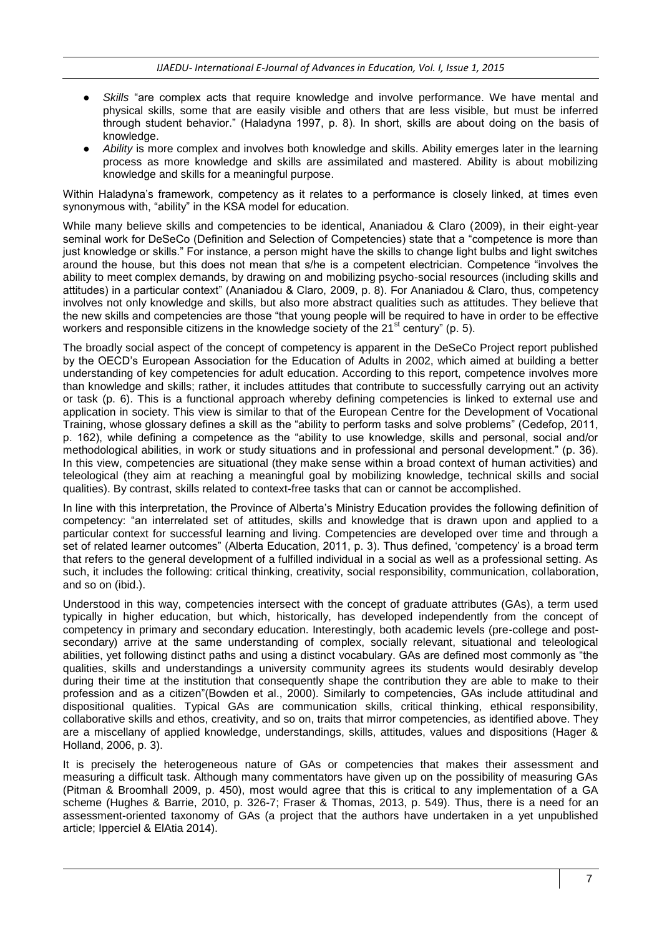- Skills "are complex acts that require knowledge and involve performance. We have mental and physical skills, some that are easily visible and others that are less visible, but must be inferred through student behavior." (Haladyna 1997, p. 8). In short, skills are about doing on the basis of knowledge.
- Ability is more complex and involves both knowledge and skills. Ability emerges later in the learning process as more knowledge and skills are assimilated and mastered. Ability is about mobilizing knowledge and skills for a meaningful purpose.

Within Haladyna's framework, competency as it relates to a performance is closely linked, at times even synonymous with, "ability" in the KSA model for education.

While many believe skills and competencies to be identical, Ananiadou & Claro (2009), in their eight-year seminal work for DeSeCo (Definition and Selection of Competencies) state that a "competence is more than just knowledge or skills." For instance, a person might have the skills to change light bulbs and light switches around the house, but this does not mean that s/he is a competent electrician. Competence "involves the ability to meet complex demands, by drawing on and mobilizing psycho-social resources (including skills and attitudes) in a particular context" (Ananiadou & Claro, 2009, p. 8). For Ananiadou & Claro, thus, competency involves not only knowledge and skills, but also more abstract qualities such as attitudes. They believe that the new skills and competencies are those "that young people will be required to have in order to be effective workers and responsible citizens in the knowledge society of the  $21<sup>st</sup>$  century" (p. 5).

The broadly social aspect of the concept of competency is apparent in the DeSeCo Project report published by the OECD's European Association for the Education of Adults in 2002, which aimed at building a better understanding of key competencies for adult education. According to this report, competence involves more than knowledge and skills; rather, it includes attitudes that contribute to successfully carrying out an activity or task (p. 6). This is a functional approach whereby defining competencies is linked to external use and application in society. This view is similar to that of the European Centre for the Development of Vocational Training, whose glossary defines a skill as the "ability to perform tasks and solve problems" (Cedefop, 2011, p. 162), while defining a competence as the "ability to use knowledge, skills and personal, social and/or methodological abilities, in work or study situations and in professional and personal development." (p. 36). In this view, competencies are situational (they make sense within a broad context of human activities) and teleological (they aim at reaching a meaningful goal by mobilizing knowledge, technical skills and social qualities). By contrast, skills related to context-free tasks that can or cannot be accomplished.

In line with this interpretation, the Province of Alberta's Ministry Education provides the following definition of competency: "an interrelated set of attitudes, skills and knowledge that is drawn upon and applied to a particular context for successful learning and living. Competencies are developed over time and through a set of related learner outcomes" (Alberta Education, 2011, p. 3). Thus defined, 'competency' is a broad term that refers to the general development of a fulfilled individual in a social as well as a professional setting. As such, it includes the following: critical thinking, creativity, social responsibility, communication, collaboration, and so on (ibid.).

Understood in this way, competencies intersect with the concept of graduate attributes (GAs), a term used typically in higher education, but which, historically, has developed independently from the concept of competency in primary and secondary education. Interestingly, both academic levels (pre-college and postsecondary) arrive at the same understanding of complex, socially relevant, situational and teleological abilities, yet following distinct paths and using a distinct vocabulary. GAs are defined most commonly as "the qualities, skills and understandings a university community agrees its students would desirably develop during their time at the institution that consequently shape the contribution they are able to make to their profession and as a citizen"(Bowden et al., 2000). Similarly to competencies, GAs include attitudinal and dispositional qualities. Typical GAs are communication skills, critical thinking, ethical responsibility, collaborative skills and ethos, creativity, and so on, traits that mirror competencies, as identified above. They are a miscellany of applied knowledge, understandings, skills, attitudes, values and dispositions (Hager & Holland, 2006, p. 3).

It is precisely the heterogeneous nature of GAs or competencies that makes their assessment and measuring a difficult task. Although many commentators have given up on the possibility of measuring GAs (Pitman & Broomhall 2009, p. 450), most would agree that this is critical to any implementation of a GA scheme (Hughes & Barrie, 2010, p. 326-7; Fraser & Thomas, 2013, p. 549). Thus, there is a need for an assessment-oriented taxonomy of GAs (a project that the authors have undertaken in a yet unpublished article; Ipperciel & ElAtia 2014).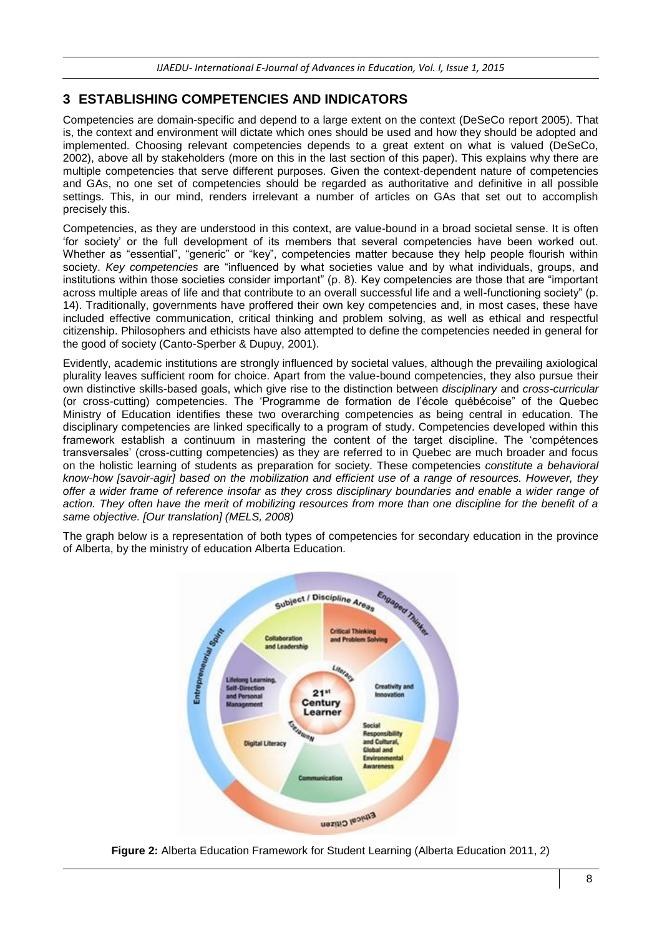#### **3 ESTABLISHING COMPETENCIES AND INDICATORS**

Competencies are domain-specific and depend to a large extent on the context (DeSeCo report 2005). That is, the context and environment will dictate which ones should be used and how they should be adopted and implemented. Choosing relevant competencies depends to a great extent on what is valued (DeSeCo, 2002), above all by stakeholders (more on this in the last section of this paper). This explains why there are multiple competencies that serve different purposes. Given the context-dependent nature of competencies and GAs, no one set of competencies should be regarded as authoritative and definitive in all possible settings. This, in our mind, renders irrelevant a number of articles on GAs that set out to accomplish precisely this.

Competencies, as they are understood in this context, are value-bound in a broad societal sense. It is often 'for society' or the full development of its members that several competencies have been worked out. Whether as "essential", "generic" or "key", competencies matter because they help people flourish within society. *Key competencies* are "influenced by what societies value and by what individuals, groups, and institutions within those societies consider important" (p. 8). Key competencies are those that are "important across multiple areas of life and that contribute to an overall successful life and a well-functioning society" (p. 14). Traditionally, governments have proffered their own key competencies and, in most cases, these have included effective communication, critical thinking and problem solving, as well as ethical and respectful citizenship. Philosophers and ethicists have also attempted to define the competencies needed in general for the good of society (Canto-Sperber & Dupuy, 2001).

Evidently, academic institutions are strongly influenced by societal values, although the prevailing axiological plurality leaves sufficient room for choice. Apart from the value-bound competencies, they also pursue their own distinctive skills-based goals, which give rise to the distinction between *disciplinary* and *cross-curricular* (or cross-cutting) competencies. The 'Programme de formation de l'école québécoise" of the Quebec Ministry of Education identifies these two overarching competencies as being central in education. The disciplinary competencies are linked specifically to a program of study. Competencies developed within this framework establish a continuum in mastering the content of the target discipline. The 'compétences transversales' (cross-cutting competencies) as they are referred to in Quebec are much broader and focus on the holistic learning of students as preparation for society. These competencies *constitute a behavioral know-how [savoir-agir] based on the mobilization and efficient use of a range of resources. However, they offer a wider frame of reference insofar as they cross disciplinary boundaries and enable a wider range of action. They often have the merit of mobilizing resources from more than one discipline for the benefit of a same objective. [Our translation] (MELS, 2008)*

The graph below is a representation of both types of competencies for secondary education in the province of Alberta, by the ministry of education Alberta Education.



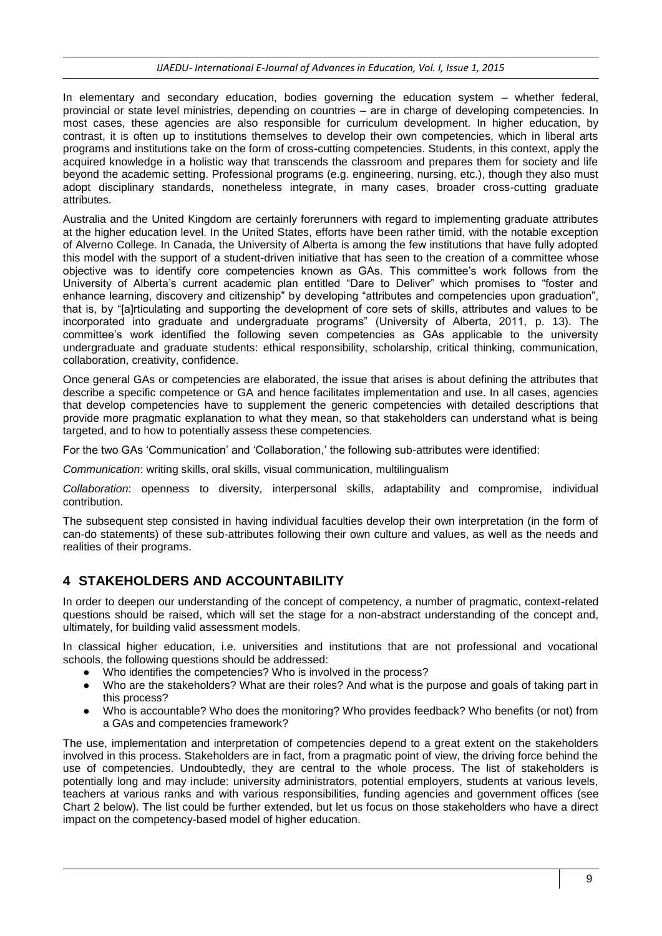#### *IJAEDU- International E-Journal of Advances in Education, Vol. I, Issue 1, 2015*

In elementary and secondary education, bodies governing the education system – whether federal, provincial or state level ministries, depending on countries – are in charge of developing competencies. In most cases, these agencies are also responsible for curriculum development. In higher education, by contrast, it is often up to institutions themselves to develop their own competencies, which in liberal arts programs and institutions take on the form of cross-cutting competencies. Students, in this context, apply the acquired knowledge in a holistic way that transcends the classroom and prepares them for society and life beyond the academic setting. Professional programs (e.g. engineering, nursing, etc.), though they also must adopt disciplinary standards, nonetheless integrate, in many cases, broader cross-cutting graduate attributes.

Australia and the United Kingdom are certainly forerunners with regard to implementing graduate attributes at the higher education level. In the United States, efforts have been rather timid, with the notable exception of Alverno College. In Canada, the University of Alberta is among the few institutions that have fully adopted this model with the support of a student-driven initiative that has seen to the creation of a committee whose objective was to identify core competencies known as GAs. This committee's work follows from the University of Alberta's current academic plan entitled "Dare to Deliver" which promises to "foster and enhance learning, discovery and citizenship" by developing "attributes and competencies upon graduation", that is, by "[a]rticulating and supporting the development of core sets of skills, attributes and values to be incorporated into graduate and undergraduate programs" (University of Alberta, 2011, p. 13). The committee's work identified the following seven competencies as GAs applicable to the university undergraduate and graduate students: ethical responsibility, scholarship, critical thinking, communication, collaboration, creativity, confidence.

Once general GAs or competencies are elaborated, the issue that arises is about defining the attributes that describe a specific competence or GA and hence facilitates implementation and use. In all cases, agencies that develop competencies have to supplement the generic competencies with detailed descriptions that provide more pragmatic explanation to what they mean, so that stakeholders can understand what is being targeted, and to how to potentially assess these competencies.

For the two GAs 'Communication' and 'Collaboration,' the following sub-attributes were identified:

*Communication*: writing skills, oral skills, visual communication, multilingualism

*Collaboration*: openness to diversity, interpersonal skills, adaptability and compromise, individual contribution.

The subsequent step consisted in having individual faculties develop their own interpretation (in the form of can-do statements) of these sub-attributes following their own culture and values, as well as the needs and realities of their programs.

### **4 STAKEHOLDERS AND ACCOUNTABILITY**

In order to deepen our understanding of the concept of competency, a number of pragmatic, context-related questions should be raised, which will set the stage for a non-abstract understanding of the concept and, ultimately, for building valid assessment models.

In classical higher education, i.e. universities and institutions that are not professional and vocational schools, the following questions should be addressed:

- Who identifies the competencies? Who is involved in the process?
- Who are the stakeholders? What are their roles? And what is the purpose and goals of taking part in this process?
- Who is accountable? Who does the monitoring? Who provides feedback? Who benefits (or not) from a GAs and competencies framework?

The use, implementation and interpretation of competencies depend to a great extent on the stakeholders involved in this process. Stakeholders are in fact, from a pragmatic point of view, the driving force behind the use of competencies. Undoubtedly, they are central to the whole process. The list of stakeholders is potentially long and may include: university administrators, potential employers, students at various levels, teachers at various ranks and with various responsibilities, funding agencies and government offices (see Chart 2 below). The list could be further extended, but let us focus on those stakeholders who have a direct impact on the competency-based model of higher education.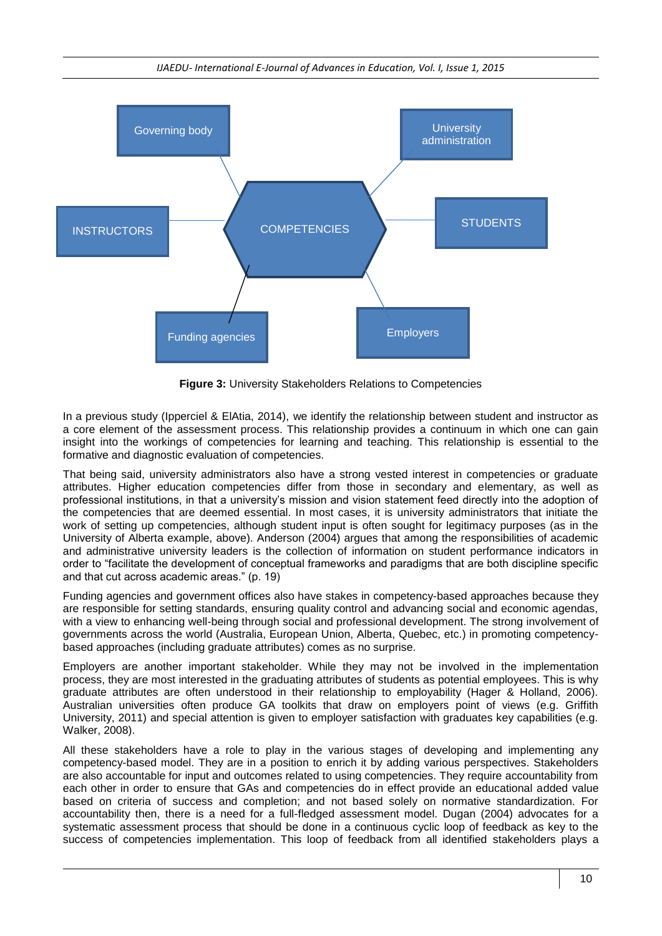

**Figure 3:** University Stakeholders Relations to Competencies

In a previous study (Ipperciel & ElAtia, 2014), we identify the relationship between student and instructor as a core element of the assessment process. This relationship provides a continuum in which one can gain insight into the workings of competencies for learning and teaching. This relationship is essential to the formative and diagnostic evaluation of competencies.

That being said, university administrators also have a strong vested interest in competencies or graduate attributes. Higher education competencies differ from those in secondary and elementary, as well as professional institutions, in that a university's mission and vision statement feed directly into the adoption of the competencies that are deemed essential. In most cases, it is university administrators that initiate the work of setting up competencies, although student input is often sought for legitimacy purposes (as in the University of Alberta example, above). Anderson (2004) argues that among the responsibilities of academic and administrative university leaders is the collection of information on student performance indicators in order to "facilitate the development of conceptual frameworks and paradigms that are both discipline specific and that cut across academic areas." (p. 19)

Funding agencies and government offices also have stakes in competency-based approaches because they are responsible for setting standards, ensuring quality control and advancing social and economic agendas, with a view to enhancing well-being through social and professional development. The strong involvement of governments across the world (Australia, European Union, Alberta, Quebec, etc.) in promoting competencybased approaches (including graduate attributes) comes as no surprise.

Employers are another important stakeholder. While they may not be involved in the implementation process, they are most interested in the graduating attributes of students as potential employees. This is why graduate attributes are often understood in their relationship to employability (Hager & Holland, 2006). Australian universities often produce GA toolkits that draw on employers point of views (e.g. Griffith University, 2011) and special attention is given to employer satisfaction with graduates key capabilities (e.g. Walker, 2008).

All these stakeholders have a role to play in the various stages of developing and implementing any competency-based model. They are in a position to enrich it by adding various perspectives. Stakeholders are also accountable for input and outcomes related to using competencies. They require accountability from each other in order to ensure that GAs and competencies do in effect provide an educational added value based on criteria of success and completion; and not based solely on normative standardization. For accountability then, there is a need for a full-fledged assessment model. Dugan (2004) advocates for a systematic assessment process that should be done in a continuous cyclic loop of feedback as key to the success of competencies implementation. This loop of feedback from all identified stakeholders plays a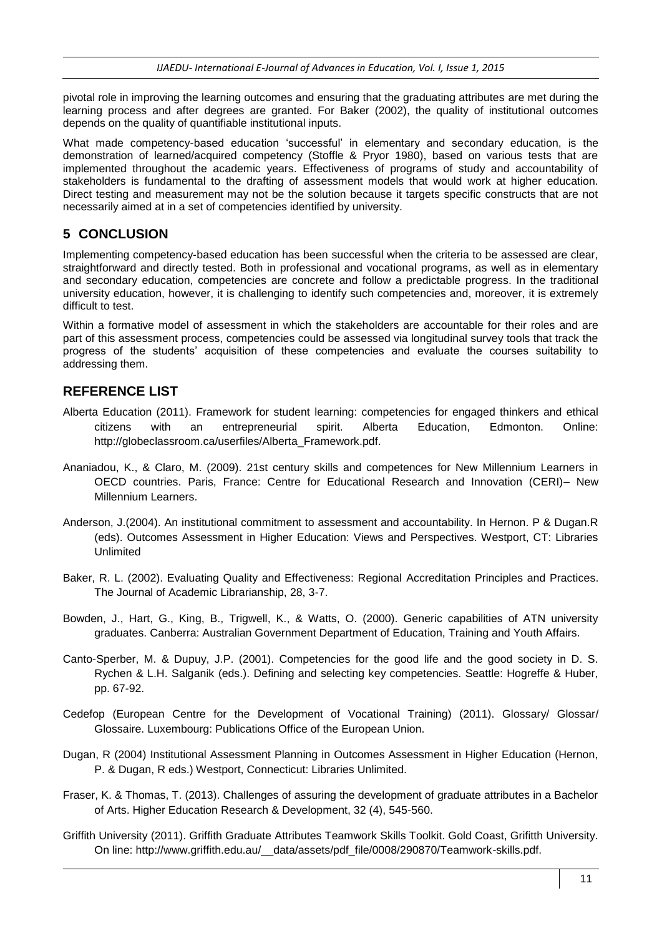pivotal role in improving the learning outcomes and ensuring that the graduating attributes are met during the learning process and after degrees are granted. For Baker (2002), the quality of institutional outcomes depends on the quality of quantifiable institutional inputs.

What made competency-based education 'successful' in elementary and secondary education, is the demonstration of learned/acquired competency (Stoffle & Pryor 1980), based on various tests that are implemented throughout the academic years. Effectiveness of programs of study and accountability of stakeholders is fundamental to the drafting of assessment models that would work at higher education. Direct testing and measurement may not be the solution because it targets specific constructs that are not necessarily aimed at in a set of competencies identified by university.

# **5 CONCLUSION**

Implementing competency-based education has been successful when the criteria to be assessed are clear, straightforward and directly tested. Both in professional and vocational programs, as well as in elementary and secondary education, competencies are concrete and follow a predictable progress. In the traditional university education, however, it is challenging to identify such competencies and, moreover, it is extremely difficult to test.

Within a formative model of assessment in which the stakeholders are accountable for their roles and are part of this assessment process, competencies could be assessed via longitudinal survey tools that track the progress of the students' acquisition of these competencies and evaluate the courses suitability to addressing them.

### **REFERENCE LIST**

- Alberta Education (2011). Framework for student learning: competencies for engaged thinkers and ethical citizens with an entrepreneurial spirit. Alberta Education, Edmonton. Online: http://globeclassroom.ca/userfiles/Alberta\_Framework.pdf.
- Ananiadou, K., & Claro, M. (2009). 21st century skills and competences for New Millennium Learners in OECD countries. Paris, France: Centre for Educational Research and Innovation (CERI)– New Millennium Learners.
- Anderson, J.(2004). An institutional commitment to assessment and accountability. In Hernon. P & Dugan.R (eds). Outcomes Assessment in Higher Education: Views and Perspectives. Westport, CT: Libraries Unlimited
- Baker, R. L. (2002). Evaluating Quality and Effectiveness: Regional Accreditation Principles and Practices. The Journal of Academic Librarianship, 28, 3-7.
- Bowden, J., Hart, G., King, B., Trigwell, K., & Watts, O. (2000). Generic capabilities of ATN university graduates. Canberra: Australian Government Department of Education, Training and Youth Affairs.
- Canto-Sperber, M. & Dupuy, J.P. (2001). Competencies for the good life and the good society in D. S. Rychen & L.H. Salganik (eds.). Defining and selecting key competencies. Seattle: Hogreffe & Huber, pp. 67-92.
- Cedefop (European Centre for the Development of Vocational Training) (2011). Glossary/ Glossar/ Glossaire. Luxembourg: Publications Office of the European Union.
- Dugan, R (2004) Institutional Assessment Planning in Outcomes Assessment in Higher Education (Hernon, P. & Dugan, R eds.) Westport, Connecticut: Libraries Unlimited.
- Fraser, K. & Thomas, T. (2013). Challenges of assuring the development of graduate attributes in a Bachelor of Arts. Higher Education Research & Development, 32 (4), 545-560.
- Griffith University (2011). Griffith Graduate Attributes Teamwork Skills Toolkit. Gold Coast, Grifitth University. On line: http://www.griffith.edu.au/\_\_data/assets/pdf\_file/0008/290870/Teamwork-skills.pdf.